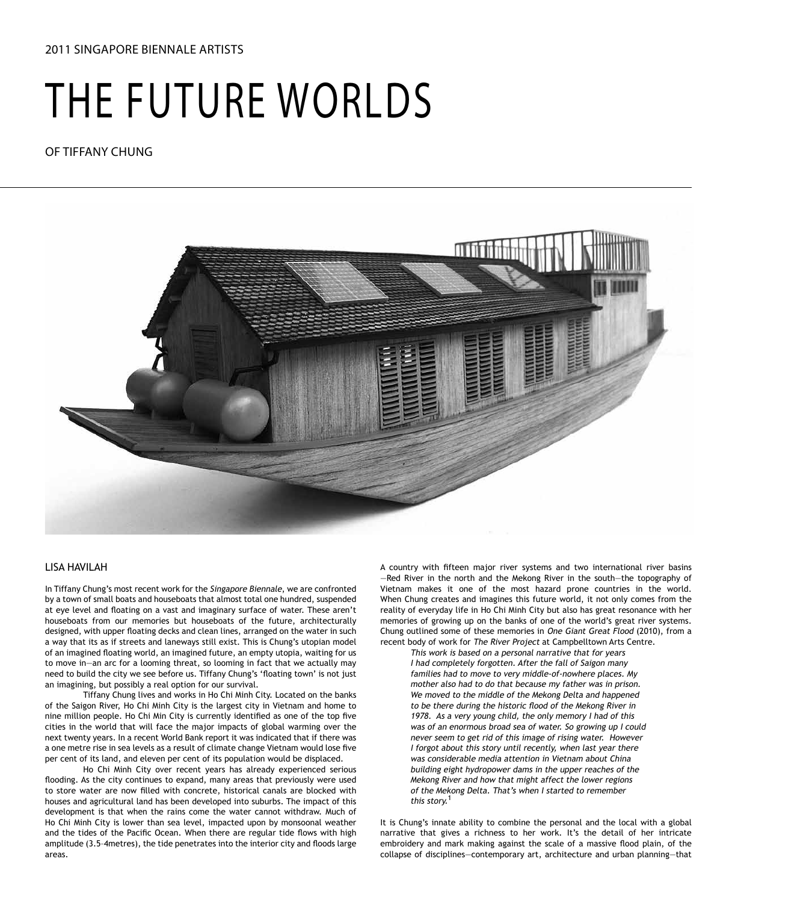2011 SINGAPORE BIENNALE ARTISTS

## THE FUTURE WORLDS

## OF TIFFANY CHUNG



## LISA HAVILAH

In Tiffany Chung's most recent work for the Singapore Biennale, we are confronted by a town of small boats and houseboats that almost total one hundred, suspended at eye level and floating on a vast and imaginary surface of water. These aren't houseboats from our memories but houseboats of the future, architecturally designed, with upper floating decks and clean lines, arranged on the water in such a way that its as if streets and laneways still exist. This is Chung's utopian model of an imagined floating world, an imagined future, an empty utopia, waiting for us to move in—an arc for a looming threat, so looming in fact that we actually may need to build the city we see before us. Tiffany Chung's 'floating town' is not just an imagining, but possibly a real option for our survival.

Tiffany Chung lives and works in Ho Chi Minh City. Located on the banks of the Saigon River, Ho Chi Minh City is the largest city in Vietnam and home to nine million people. Ho Chi Min City is currently identified as one of the top five cities in the world that will face the major impacts of global warming over the next twenty years. In a recent World Bank report it was indicated that if there was a one metre rise in sea levels as a result of climate change Vietnam would lose five per cent of its land, and eleven per cent of its population would be displaced.

Ho Chi Minh City over recent years has already experienced serious flooding. As the city continues to expand, many areas that previously were used to store water are now filled with concrete, historical canals are blocked with houses and agricultural land has been developed into suburbs. The impact of this development is that when the rains come the water cannot withdraw. Much of Ho Chi Minh City is lower than sea level, impacted upon by monsoonal weather and the tides of the Pacific Ocean. When there are regular tide flows with high amplitude (3.5–4metres), the tide penetrates into the interior city and floods large areas.

A country with fifteen major river systems and two international river basins —Red River in the north and the Mekong River in the south—the topography of Vietnam makes it one of the most hazard prone countries in the world. When Chung creates and imagines this future world, it not only comes from the reality of everyday life in Ho Chi Minh City but also has great resonance with her memories of growing up on the banks of one of the world's great river systems. Chung outlined some of these memories in One Giant Great Flood (2010), from a recent body of work for The River Project at Campbelltown Arts Centre.

This work is based on a personal narrative that for years I had completely forgotten. After the fall of Saigon many families had to move to very middle-of-nowhere places. My mother also had to do that because my father was in prison. We moved to the middle of the Mekong Delta and happened to be there during the historic flood of the Mekong River in 1978. As a very young child, the only memory I had of this was of an enormous broad sea of water. So growing up I could never seem to get rid of this image of rising water. However I forgot about this story until recently, when last year there was considerable media attention in Vietnam about China building eight hydropower dams in the upper reaches of the Mekong River and how that might affect the lower regions of the Mekong Delta. That's when I started to remember this story.<sup>1</sup>

It is Chung's innate ability to combine the personal and the local with a global narrative that gives a richness to her work. It's the detail of her intricate embroidery and mark making against the scale of a massive flood plain, of the collapse of disciplines—contemporary art, architecture and urban planning—that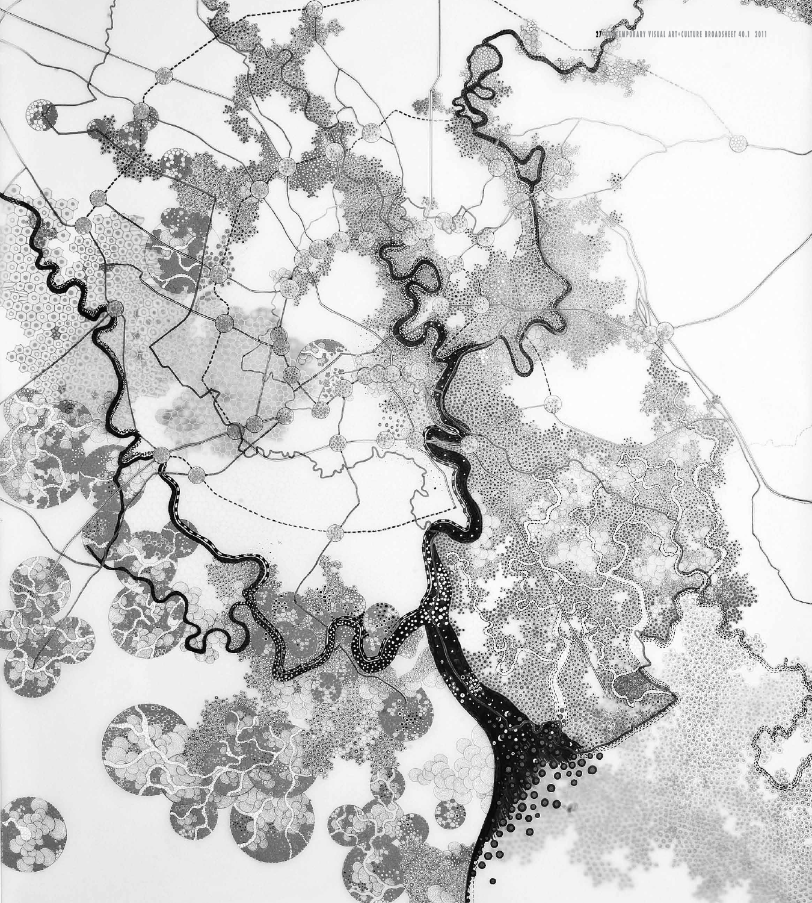